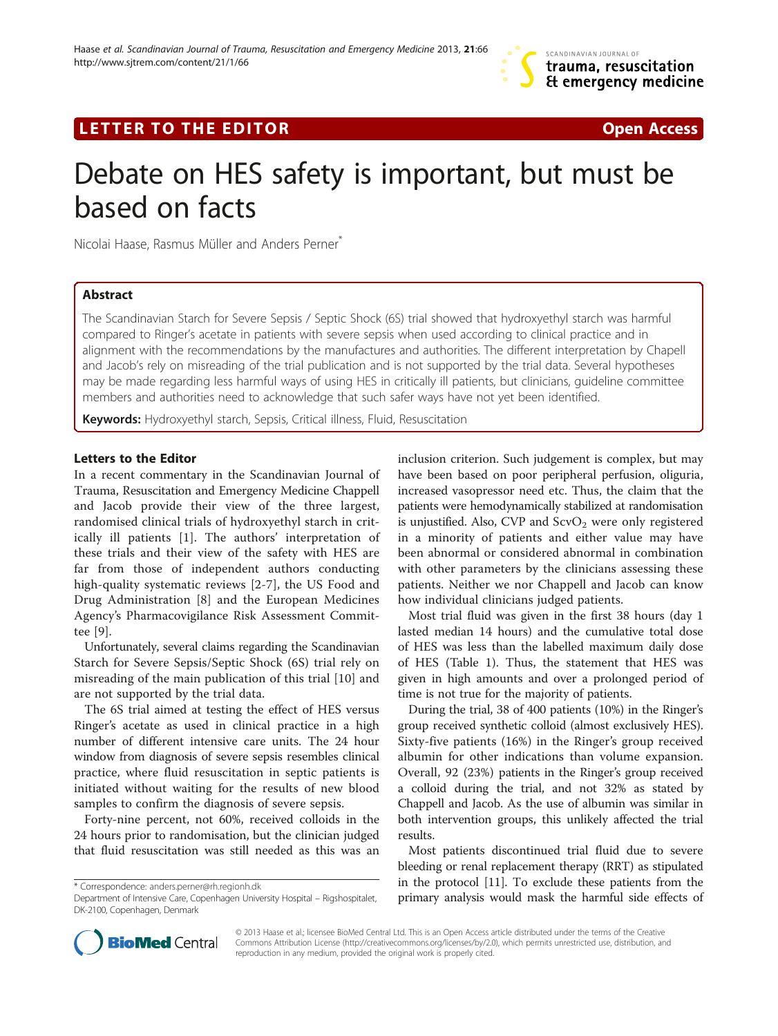## LETTER TO THE EDITOR **CONSIDERATION** CONSIDERING THE STATE AND THE STATE ASSAULT AND THE STATE ASSAULT ASSAULT AS

# Debate on HES safety is important, but must be based on facts

Nicolai Haase, Rasmus Müller and Anders Perner<sup>®</sup>

## Abstract

The Scandinavian Starch for Severe Sepsis / Septic Shock (6S) trial showed that hydroxyethyl starch was harmful compared to Ringer's acetate in patients with severe sepsis when used according to clinical practice and in alignment with the recommendations by the manufactures and authorities. The different interpretation by Chapell and Jacob's rely on misreading of the trial publication and is not supported by the trial data. Several hypotheses may be made regarding less harmful ways of using HES in critically ill patients, but clinicians, guideline committee members and authorities need to acknowledge that such safer ways have not yet been identified.

Keywords: Hydroxyethyl starch, Sepsis, Critical illness, Fluid, Resuscitation

## Letters to the Editor

In a recent commentary in the Scandinavian Journal of Trauma, Resuscitation and Emergency Medicine Chappell and Jacob provide their view of the three largest, randomised clinical trials of hydroxyethyl starch in critically ill patients [\[1](#page-1-0)]. The authors' interpretation of these trials and their view of the safety with HES are far from those of independent authors conducting high-quality systematic reviews [\[2](#page-1-0)-[7\]](#page-1-0), the US Food and Drug Administration [[8\]](#page-1-0) and the European Medicines Agency's Pharmacovigilance Risk Assessment Committee [\[9](#page-1-0)].

Unfortunately, several claims regarding the Scandinavian Starch for Severe Sepsis/Septic Shock (6S) trial rely on misreading of the main publication of this trial [[10](#page-2-0)] and are not supported by the trial data.

The 6S trial aimed at testing the effect of HES versus Ringer's acetate as used in clinical practice in a high number of different intensive care units. The 24 hour window from diagnosis of severe sepsis resembles clinical practice, where fluid resuscitation in septic patients is initiated without waiting for the results of new blood samples to confirm the diagnosis of severe sepsis.

Forty-nine percent, not 60%, received colloids in the 24 hours prior to randomisation, but the clinician judged that fluid resuscitation was still needed as this was an inclusion criterion. Such judgement is complex, but may have been based on poor peripheral perfusion, oliguria, increased vasopressor need etc. Thus, the claim that the patients were hemodynamically stabilized at randomisation is unjustified. Also, CVP and  $ScvO<sub>2</sub>$  were only registered in a minority of patients and either value may have been abnormal or considered abnormal in combination with other parameters by the clinicians assessing these patients. Neither we nor Chappell and Jacob can know how individual clinicians judged patients.

Most trial fluid was given in the first 38 hours (day 1 lasted median 14 hours) and the cumulative total dose of HES was less than the labelled maximum daily dose of HES (Table [1\)](#page-1-0). Thus, the statement that HES was given in high amounts and over a prolonged period of time is not true for the majority of patients.

During the trial, 38 of 400 patients (10%) in the Ringer's group received synthetic colloid (almost exclusively HES). Sixty-five patients (16%) in the Ringer's group received albumin for other indications than volume expansion. Overall, 92 (23%) patients in the Ringer's group received a colloid during the trial, and not 32% as stated by Chappell and Jacob. As the use of albumin was similar in both intervention groups, this unlikely affected the trial results.

Most patients discontinued trial fluid due to severe bleeding or renal replacement therapy (RRT) as stipulated in the protocol [[11](#page-2-0)]. To exclude these patients from the primary analysis would mask the harmful side effects of



© 2013 Haase et al.; licensee BioMed Central Ltd. This is an Open Access article distributed under the terms of the Creative Commons Attribution License [\(http://creativecommons.org/licenses/by/2.0\)](http://creativecommons.org/licenses/by/2.0), which permits unrestricted use, distribution, and reproduction in any medium, provided the original work is properly cited.

<sup>\*</sup> Correspondence: [anders.perner@rh.regionh.dk](mailto:anders.perner@rh.regionh.dk)

Department of Intensive Care, Copenhagen University Hospital – Rigshospitalet, DK-2100, Copenhagen, Denmark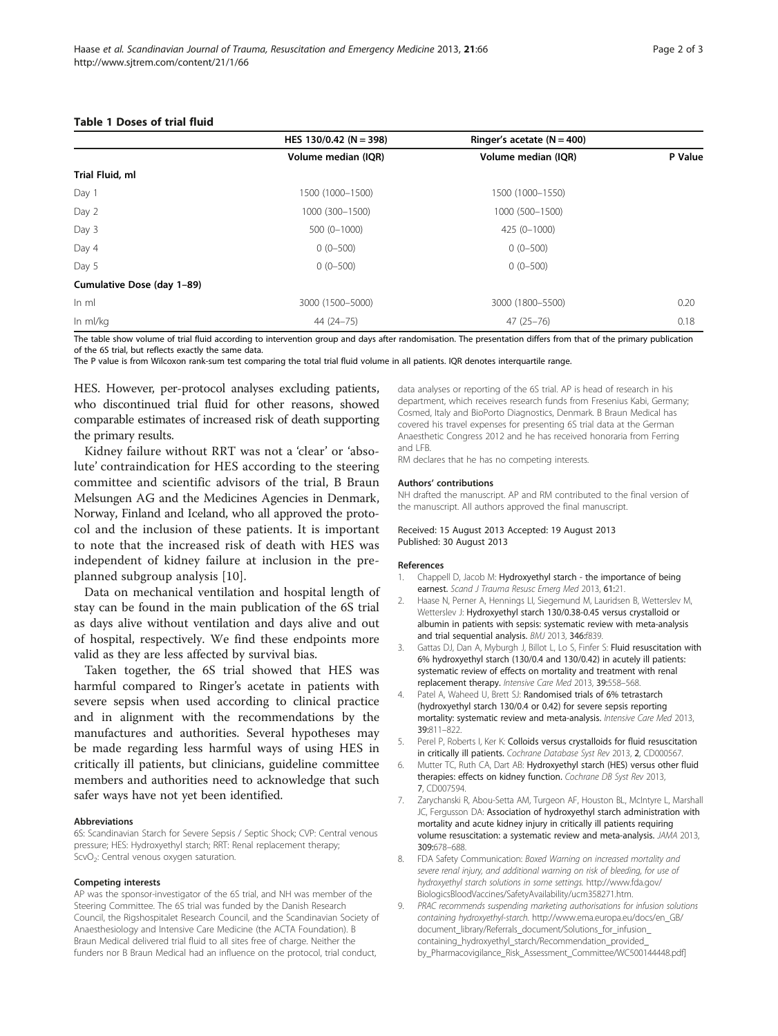#### <span id="page-1-0"></span>Table 1 Doses of trial fluid

|                            | HES 130/0.42 (N = 398) | Ringer's acetate $(N = 400)$ |         |
|----------------------------|------------------------|------------------------------|---------|
|                            | Volume median (IQR)    | Volume median (IQR)          | P Value |
| Trial Fluid, ml            |                        |                              |         |
| Day 1                      | 1500 (1000-1500)       | 1500 (1000-1550)             |         |
| Day 2                      | 1000 (300-1500)        | 1000 (500-1500)              |         |
| Day 3                      | 500 (0-1000)           | 425 (0-1000)                 |         |
| Day 4                      | $0(0-500)$             | $0(0-500)$                   |         |
| Day 5                      | $0(0-500)$             | $0(0-500)$                   |         |
| Cumulative Dose (day 1-89) |                        |                              |         |
| $ln \, ml$                 | 3000 (1500-5000)       | 3000 (1800-5500)             | 0.20    |
| In ml/kg                   | 44 (24 - 75)           | $47(25 - 76)$                | 0.18    |

The table show volume of trial fluid according to intervention group and days after randomisation. The presentation differs from that of the primary publication of the 6S trial, but reflects exactly the same data.

The P value is from Wilcoxon rank-sum test comparing the total trial fluid volume in all patients. IQR denotes interquartile range.

HES. However, per-protocol analyses excluding patients, who discontinued trial fluid for other reasons, showed comparable estimates of increased risk of death supporting the primary results.

Kidney failure without RRT was not a 'clear' or 'absolute' contraindication for HES according to the steering committee and scientific advisors of the trial, B Braun Melsungen AG and the Medicines Agencies in Denmark, Norway, Finland and Iceland, who all approved the protocol and the inclusion of these patients. It is important to note that the increased risk of death with HES was independent of kidney failure at inclusion in the preplanned subgroup analysis [\[10](#page-2-0)].

Data on mechanical ventilation and hospital length of stay can be found in the main publication of the 6S trial as days alive without ventilation and days alive and out of hospital, respectively. We find these endpoints more valid as they are less affected by survival bias.

Taken together, the 6S trial showed that HES was harmful compared to Ringer's acetate in patients with severe sepsis when used according to clinical practice and in alignment with the recommendations by the manufactures and authorities. Several hypotheses may be made regarding less harmful ways of using HES in critically ill patients, but clinicians, guideline committee members and authorities need to acknowledge that such safer ways have not yet been identified.

#### Abbreviations

6S: Scandinavian Starch for Severe Sepsis / Septic Shock; CVP: Central venous pressure; HES: Hydroxyethyl starch; RRT: Renal replacement therapy; ScvO<sub>2</sub>: Central venous oxygen saturation.

#### Competing interests

AP was the sponsor-investigator of the 6S trial, and NH was member of the Steering Committee. The 6S trial was funded by the Danish Research Council, the Rigshospitalet Research Council, and the Scandinavian Society of Anaesthesiology and Intensive Care Medicine (the ACTA Foundation). B Braun Medical delivered trial fluid to all sites free of charge. Neither the funders nor B Braun Medical had an influence on the protocol, trial conduct,

data analyses or reporting of the 6S trial. AP is head of research in his department, which receives research funds from Fresenius Kabi, Germany; Cosmed, Italy and BioPorto Diagnostics, Denmark. B Braun Medical has covered his travel expenses for presenting 6S trial data at the German Anaesthetic Congress 2012 and he has received honoraria from Ferring and LFB.

RM declares that he has no competing interests.

#### Authors' contributions

NH drafted the manuscript. AP and RM contributed to the final version of the manuscript. All authors approved the final manuscript.

#### Received: 15 August 2013 Accepted: 19 August 2013 Published: 30 August 2013

#### References

- 1. Chappell D, Jacob M: Hydroxyethyl starch the importance of being earnest. Scand J Trauma Resusc Emerg Med 2013, 61:21.
- 2. Haase N, Perner A, Hennings LI, Siegemund M, Lauridsen B, Wetterslev M, Wetterslev J: Hydroxyethyl starch 130/0.38-0.45 versus crystalloid or albumin in patients with sepsis: systematic review with meta-analysis and trial sequential analysis. BMJ 2013, 346:f839.
- 3. Gattas DJ, Dan A, Myburgh J, Billot L, Lo S, Finfer S: Fluid resuscitation with 6% hydroxyethyl starch (130/0.4 and 130/0.42) in acutely ill patients: systematic review of effects on mortality and treatment with renal replacement therapy. Intensive Care Med 2013, 39:558–568.
- Patel A, Waheed U, Brett SJ: Randomised trials of 6% tetrastarch (hydroxyethyl starch 130/0.4 or 0.42) for severe sepsis reporting mortality: systematic review and meta-analysis. Intensive Care Med 2013, 39:811–822.
- 5. Perel P, Roberts I, Ker K: Colloids versus crystalloids for fluid resuscitation in critically ill patients. Cochrane Database Syst Rev 2013, 2, CD000567
- Mutter TC, Ruth CA, Dart AB: Hydroxyethyl starch (HES) versus other fluid therapies: effects on kidney function. Cochrane DB Syst Rev 2013, 7, CD007594.
- 7. Zarychanski R, Abou-Setta AM, Turgeon AF, Houston BL, McIntyre L, Marshall JC, Fergusson DA: Association of hydroxyethyl starch administration with mortality and acute kidney injury in critically ill patients requiring volume resuscitation: a systematic review and meta-analysis. JAMA 2013, 309:678–688.
- 8. FDA Safety Communication: Boxed Warning on increased mortality and severe renal injury, and additional warning on risk of bleeding, for use of hydroxyethyl starch solutions in some settings. [http://www.fda.gov/](http://www.fda.gov/BiologicsBloodVaccines/SafetyAvailability/ucm358271.htm) [BiologicsBloodVaccines/SafetyAvailability/ucm358271.htm.](http://www.fda.gov/BiologicsBloodVaccines/SafetyAvailability/ucm358271.htm)
- 9. PRAC recommends suspending marketing authorisations for infusion solutions containing hydroxyethyl-starch. [http://www.ema.europa.eu/docs/en\\_GB/](http://www.ema.europa.eu/docs/en_GB/document_library/Referrals_document/Solutions_for_infusion_containing_hydroxyethyl_starch/Recommendation_provided_by_Pharmacovigilance_Risk_Assessment_Committee/WC500144448.pdf) [document\\_library/Referrals\\_document/Solutions\\_for\\_infusion\\_](http://www.ema.europa.eu/docs/en_GB/document_library/Referrals_document/Solutions_for_infusion_containing_hydroxyethyl_starch/Recommendation_provided_by_Pharmacovigilance_Risk_Assessment_Committee/WC500144448.pdf) [containing\\_hydroxyethyl\\_starch/Recommendation\\_provided\\_](http://www.ema.europa.eu/docs/en_GB/document_library/Referrals_document/Solutions_for_infusion_containing_hydroxyethyl_starch/Recommendation_provided_by_Pharmacovigilance_Risk_Assessment_Committee/WC500144448.pdf) [by\\_Pharmacovigilance\\_Risk\\_Assessment\\_Committee/WC500144448.pdf\]](http://www.ema.europa.eu/docs/en_GB/document_library/Referrals_document/Solutions_for_infusion_containing_hydroxyethyl_starch/Recommendation_provided_by_Pharmacovigilance_Risk_Assessment_Committee/WC500144448.pdf)